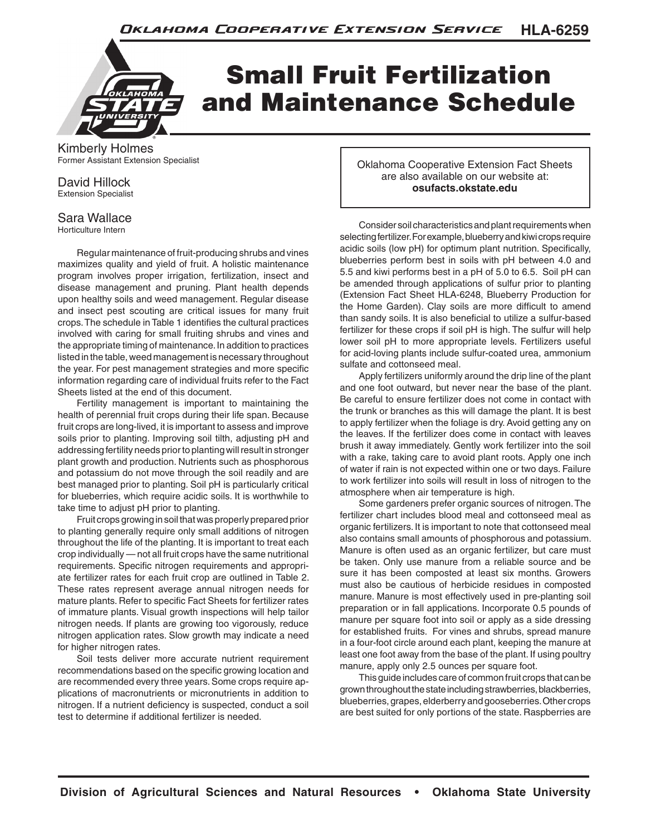

## Small Fruit Fertilization and Maintenance Schedule

Kimberly Holmes Former Assistant Extension Specialist

David Hillock Extension Specialist

## Sara Wallace

Horticulture Intern

Regular maintenance of fruit-producing shrubs and vines maximizes quality and yield of fruit. A holistic maintenance program involves proper irrigation, fertilization, insect and disease management and pruning. Plant health depends upon healthy soils and weed management. Regular disease and insect pest scouting are critical issues for many fruit crops. The schedule in Table 1 identifies the cultural practices involved with caring for small fruiting shrubs and vines and the appropriate timing of maintenance. In addition to practices listed in the table, weed management is necessary throughout the year. For pest management strategies and more specific information regarding care of individual fruits refer to the Fact Sheets listed at the end of this document.

Fertility management is important to maintaining the health of perennial fruit crops during their life span. Because fruit crops are long-lived, it is important to assess and improve soils prior to planting. Improving soil tilth, adjusting pH and addressing fertility needs prior to planting will result in stronger plant growth and production. Nutrients such as phosphorous and potassium do not move through the soil readily and are best managed prior to planting. Soil pH is particularly critical for blueberries, which require acidic soils. It is worthwhile to take time to adjust pH prior to planting.

Fruit crops growing in soil that was properly prepared prior to planting generally require only small additions of nitrogen throughout the life of the planting. It is important to treat each crop individually — not all fruit crops have the same nutritional requirements. Specific nitrogen requirements and appropriate fertilizer rates for each fruit crop are outlined in Table 2. These rates represent average annual nitrogen needs for mature plants. Refer to specific Fact Sheets for fertilizer rates of immature plants. Visual growth inspections will help tailor nitrogen needs. If plants are growing too vigorously, reduce nitrogen application rates. Slow growth may indicate a need for higher nitrogen rates.

Soil tests deliver more accurate nutrient requirement recommendations based on the specific growing location and are recommended every three years. Some crops require applications of macronutrients or micronutrients in addition to nitrogen. If a nutrient deficiency is suspected, conduct a soil test to determine if additional fertilizer is needed.

Oklahoma Cooperative Extension Fact Sheets are also available on our website at: **osufacts.okstate.edu**

Consider soil characteristics and plant requirements when selecting fertilizer. For example, blueberry and kiwi crops require acidic soils (low pH) for optimum plant nutrition. Specifically, blueberries perform best in soils with pH between 4.0 and 5.5 and kiwi performs best in a pH of 5.0 to 6.5. Soil pH can be amended through applications of sulfur prior to planting (Extension Fact Sheet HLA-6248, Blueberry Production for the Home Garden). Clay soils are more difficult to amend than sandy soils. It is also beneficial to utilize a sulfur-based fertilizer for these crops if soil pH is high. The sulfur will help lower soil pH to more appropriate levels. Fertilizers useful for acid-loving plants include sulfur-coated urea, ammonium sulfate and cottonseed meal.

Apply fertilizers uniformly around the drip line of the plant and one foot outward, but never near the base of the plant. Be careful to ensure fertilizer does not come in contact with the trunk or branches as this will damage the plant. It is best to apply fertilizer when the foliage is dry. Avoid getting any on the leaves. If the fertilizer does come in contact with leaves brush it away immediately. Gently work fertilizer into the soil with a rake, taking care to avoid plant roots. Apply one inch of water if rain is not expected within one or two days. Failure to work fertilizer into soils will result in loss of nitrogen to the atmosphere when air temperature is high.

Some gardeners prefer organic sources of nitrogen. The fertilizer chart includes blood meal and cottonseed meal as organic fertilizers. It is important to note that cottonseed meal also contains small amounts of phosphorous and potassium. Manure is often used as an organic fertilizer, but care must be taken. Only use manure from a reliable source and be sure it has been composted at least six months. Growers must also be cautious of herbicide residues in composted manure. Manure is most effectively used in pre-planting soil preparation or in fall applications. Incorporate 0.5 pounds of manure per square foot into soil or apply as a side dressing for established fruits. For vines and shrubs, spread manure in a four-foot circle around each plant, keeping the manure at least one foot away from the base of the plant. If using poultry manure, apply only 2.5 ounces per square foot.

This guide includes care of common fruit crops that can be grown throughout the state including strawberries, blackberries, blueberries, grapes, elderberry and gooseberries. Other crops are best suited for only portions of the state. Raspberries are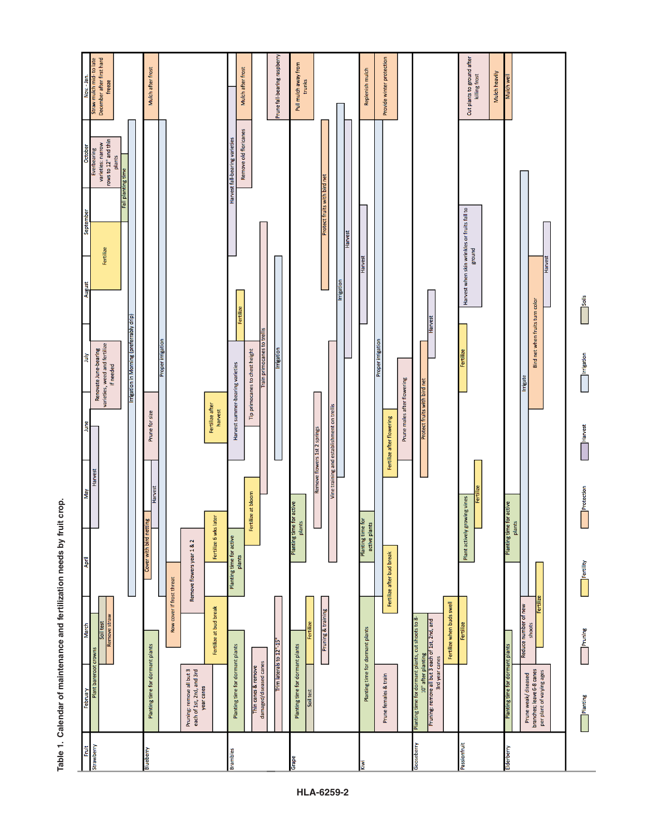Nov. - Jan.<br>Straw mulch mid- to late<br>December after first hard<br>freeze Cut plants to ground after<br>killing frost Provide winter protection une fall-bearing raspbe Pull mulch away from Mulch after frost Mulch after frost Replenish mulch Mulch heavily Mulch well trunks Remove old floricanes Crober<br>
varieties: narrow<br>
rows to 12" and thin<br>
plants Harvest fall-bearing varieties Fall planting time Protect fruits with bird net Harvest when skin wrinkles or fruits fall to Harvest Fertilize Bround Harvest Harvest rigatio soils Bird net when fruits turn color Fertilize Harvest Irrigation in Morning (preferrably drip) Proper irrigation Renovate June-bearing<br>varieties, weed and fertilize<br>if needed rain primocanes to Proper irrigatio Irrigation Tip primocanes to chest height Fertilize Irrigation ήnτ Harvest summer-bearing varieties Irrigate Prune males after flowering Protect fruits with bird net Fertilize after<br>harvest Vine training and establishment on trellis Prune for size Fertilize after flowering Harvest Remove flowers 1st 2 springs Protection Harvest Fertilize at bloom Plant actively growing vines Planting time for active<br>plants Planting time for active Fertilize 6 wks later Planting time for<br>active plants plants Planting time for active with bird Remove flowers year 1 & 2 Fertilize after bud break plants Cover \ Fertility Row cover if frost threat Fertilize when buds swell Reduce number of new Pruning & training Fertilize at bud break **Imove straw** lanting time for dormant plants, cut shoots to 8 Soil test shoots Fertilize Planting time for dormant plants Pruning Trim laterals to 12"-15" Planting time for dormant plants Planting time for dormant plants Planting time for dormant plants ints damaged/diseased canes Pruning: remove all but 3<br>each of 1st, 2nd, and 3rd<br>year canes Prune weak/diseased<br>branches; leave 6-8 canes<br>per plant of varying ages Thin canes & remove Prune females & train Plant bare Soil test Planting Gooseberry Strawberry Passionfruit Fruit Elderberry Blueberry **Brambles** Grape

**Table 1. Calendar of maintenance and fertilization needs by fruit crop.** Table 1. Calendar of maintenance and fertilization needs by fruit crop.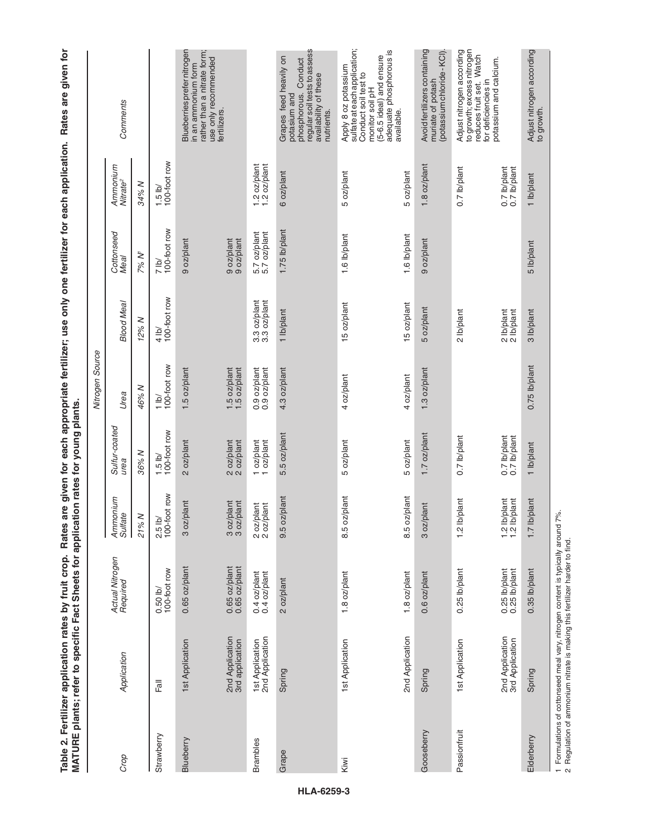|                 | Table 2. Fertilizer application rates by fruit crop. Rates are given for each appropriate fertilizer; use only one fertilizer for each application.<br>MATURE plants; refer to specific Fact Sheets for applicat |                                    |                                                                     | tion rates for young plants.                                                  |                                  |                                  |                              |                                  | Rates are given for                                                                                                                                    |
|-----------------|------------------------------------------------------------------------------------------------------------------------------------------------------------------------------------------------------------------|------------------------------------|---------------------------------------------------------------------|-------------------------------------------------------------------------------|----------------------------------|----------------------------------|------------------------------|----------------------------------|--------------------------------------------------------------------------------------------------------------------------------------------------------|
|                 |                                                                                                                                                                                                                  |                                    |                                                                     |                                                                               | Nitrogen Source                  |                                  |                              |                                  |                                                                                                                                                        |
| Crop            | Application                                                                                                                                                                                                      | Actual Nitrogen<br>Required        | Ammonium<br>Sulfate                                                 | Sulfur-coated<br>urea                                                         | Urea                             | <b>Blood Meal</b>                | Cottonseed<br>Meal           | Ammonium<br>Nitrate <sup>2</sup> | Comments                                                                                                                                               |
|                 |                                                                                                                                                                                                                  |                                    | 21% N                                                               | 36% N                                                                         | 46% N                            | 12% N                            | 7% N'                        | 34% N                            |                                                                                                                                                        |
| Strawberry      | Fall                                                                                                                                                                                                             | $0.50$ lb/<br>100-foot row         | $2.5$ lb/<br>100-foot row                                           | $\begin{array}{c} 1.5 \text{ lb/} \\ 100\text{-} \text{foot row} \end{array}$ | 100-foot row<br>$\frac{1}{10}$   | 100-foot row<br>$\frac{4}{10}$   | 7 lb/<br>100-foot row        | $1.5$ lb/<br>100-foot row        |                                                                                                                                                        |
| Blueberry       | 1st Application                                                                                                                                                                                                  | 0.65 oz/plant                      | 3 oz/plant                                                          | 2 oz/plant                                                                    | 1.5 oz/plant                     |                                  | 9 oz/plant                   |                                  | Blueberries prefer nitrogen<br>rather than a nitrate form;<br>use only recommended<br>in an ammonium form                                              |
|                 | 2nd Application<br>3rd application                                                                                                                                                                               | $0.65$ oz/plant<br>$0.65$ oz/plant | 3 oz/plant<br>3 oz/plant<br>plant                                   | 2 oz/plant<br>2 oz/plant                                                      | 1.5 oz/plant<br>1.5 oz/plant     |                                  | 9 oz/plant<br>9 oz/plant     |                                  | fertilizers.                                                                                                                                           |
| <b>Brambles</b> | 1st Application<br>2nd Application                                                                                                                                                                               | $0.4$ oz/plant<br>$0.4$ oz/plant   | 2 oz/plant<br>2 oz/plant                                            | 1 oz/plant<br>1 oz/plant                                                      | $0.9$ oz/plant<br>$0.9$ oz/plant | $3.3$ oz/plant<br>$3.3$ oz/plant | 5.7 oz/plant<br>5.7 oz/plant | $1.2$ oz/plant<br>1.2 oz/plant   |                                                                                                                                                        |
| Grape           | Spring                                                                                                                                                                                                           | 2 oz/plant                         | 9.5 oz/plant                                                        | 5.5 oz/plant                                                                  | 4.3 oz/plant                     | 1 lb/plant                       | 1.75 lb/plant                | 6 oz/plant                       | regular soil tests to assess<br>Grapes feed heavily on<br>phosphorous. Conduct<br>availability of these<br>potasium and<br>nutrients                   |
| Kiwi            | 1st Application                                                                                                                                                                                                  | 1.8 oz/plant                       | 8.5 oz/plant                                                        | 5 oz/plant                                                                    | 4 oz/plant                       | 15 oz/plant                      | 1.6 lb/plant                 | 5 oz/plant                       | sulfate at each application;<br>adequate phosphorous is<br>(5-6.5 ideal) and ensure<br>Apply 8 oz potassium<br>Conduct soil test to<br>monitor soil pH |
|                 | 2nd Application                                                                                                                                                                                                  | 1.8 oz/plant                       | 8.5 oz/plant                                                        | 5 oz/plant                                                                    | 4 oz/plant                       | 15 oz/plant                      | 1.6 lb/plant                 | 5 oz/plant                       | available.                                                                                                                                             |
| Gooseberry      | Spring                                                                                                                                                                                                           | 0.6 oz/plant                       | 3 oz/plant                                                          | 1.7 oz/plant                                                                  | 1.3 oz/plant                     | 5 oz/plant                       | 9 oz/plant                   | 1.8 oz/plant                     | Avoid fertilizers containing<br>(potassium chloride - KCI)<br>muriate of potash                                                                        |
| Passionfruit    | 1st Application                                                                                                                                                                                                  | 0.25 lb/plant                      | /plant<br>$1.2$ lb/                                                 | 0.7 lb/plant                                                                  |                                  | 2 lb/plant                       |                              | 0.7 lb/plant                     | to growth; excess nitrogen<br>reduces fruit set. Watch<br>Adjust nitrogen according<br>for deficiencies in                                             |
|                 | 2nd Application<br>3rd Application                                                                                                                                                                               | 0.25 lb/plant<br>0.25 lb/plant     | /plant<br>/plant<br>$\frac{1}{2}$<br>$\frac{1}{2}$<br>$\frac{1}{2}$ | 0.7 lb/plant<br>0.7 lb/plant                                                  |                                  | 2 lb/plant<br>2 lb/plant         |                              | 0.7 lb/plant<br>0.7 lb/plant     | potassium and calcium.                                                                                                                                 |
| Elderberry      | Spring                                                                                                                                                                                                           | 0.35 lb/plant                      | 1.7 lb/plant                                                        | 1 lb/plant                                                                    | 0.75 lb/plant                    | 3 lb/plant                       | 5 lb/plant                   | 1 lb/plant                       | Adjust nitrogen according<br>to growth.                                                                                                                |

1 Formulations of cottonseed meal vary, nitrogen content is typically around 7%.<br>2 Regulation of ammonium nitrate is making this fertilizer harder to find. 1 Formulations of cottonseed meal vary, nitrogen content is typically around 7%.

2 Regulation of ammonium nitrate is making this fertilizer harder to find.